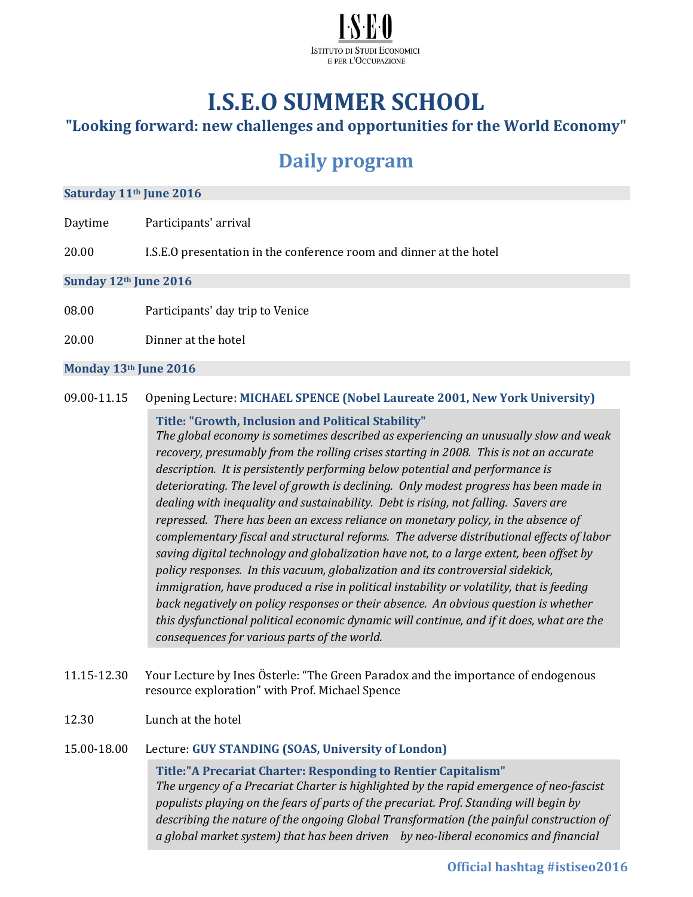

# **I.S.E.O SUMMER SCHOOL**

### **"Looking forward: new challenges and opportunities for the World Economy"**

## **Daily program**

#### **Saturday 11th June 2016**

- Daytime Participants' arrival
- 20.00 I.S.E.O presentation in the conference room and dinner at the hotel

**Sunday 12th June 2016**

- 08.00 Participants' day trip to Venice
- 20.00 Dinner at the hotel

#### **Monday 13th June 2016**

09.00-11.15 Opening Lecture: **MICHAEL SPENCE (Nobel Laureate 2001, New York University)**

#### **Title: "Growth, Inclusion and Political Stability"**

*The global economy is sometimes described as experiencing an unusually slow and weak recovery, presumably from the rolling crises starting in 2008. This is not an accurate description. It is persistently performing below potential and performance is deteriorating. The level of growth is declining. Only modest progress has been made in dealing with inequality and sustainability. Debt is rising, not falling. Savers are repressed. There has been an excess reliance on monetary policy, in the absence of complementary fiscal and structural reforms. The adverse distributional effects of labor saving digital technology and globalization have not, to a large extent, been offset by policy responses. In this vacuum, globalization and its controversial sidekick, immigration, have produced a rise in political instability or volatility, that is feeding back negatively on policy responses or their absence. An obvious question is whether this dysfunctional political economic dynamic will continue, and if it does, what are the consequences for various parts of the world.*

- 11.15-12.30 Your Lecture by Ines Österle: "The Green Paradox and the importance of endogenous resource exploration" with Prof. Michael Spence
- 12.30 Lunch at the hotel

#### 15.00-18.00 Lecture: **GUY STANDING (SOAS, University of London)**

**Title:"A Precariat Charter: Responding to Rentier Capitalism"** *The urgency of a Precariat Charter is highlighted by the rapid emergence of neo-fascist populists playing on the fears of parts of the precariat. Prof. Standing will begin by describing the nature of the ongoing Global Transformation (the painful construction of a global market system) that has been driven by neo-liberal economics and financial*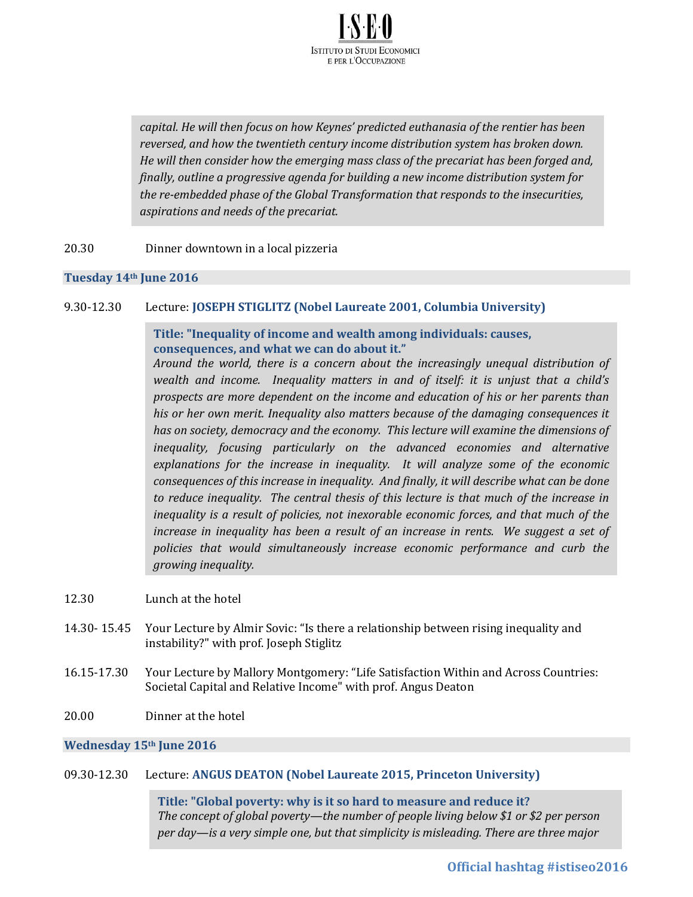

*capital. He will then focus on how Keynes' predicted euthanasia of the rentier has been reversed, and how the twentieth century income distribution system has broken down. He will then consider how the emerging mass class of the precariat has been forged and, finally, outline a progressive agenda for building a new income distribution system for the re-embedded phase of the Global Transformation that responds to the insecurities, aspirations and needs of the precariat.*

20.30 Dinner downtown in a local pizzeria

#### **Tuesday 14th June 2016**

#### 9.30-12.30 Lecture: **JOSEPH STIGLITZ (Nobel Laureate 2001, Columbia University)**

#### **Title: "Inequality of income and wealth among individuals: causes, consequences, and what we can do about it."**

*Around the world, there is a concern about the increasingly unequal distribution of wealth and income. Inequality matters in and of itself: it is unjust that a child's prospects are more dependent on the income and education of his or her parents than his or her own merit. Inequality also matters because of the damaging consequences it has on society, democracy and the economy. This lecture will examine the dimensions of inequality, focusing particularly on the advanced economies and alternative explanations for the increase in inequality. It will analyze some of the economic consequences of this increase in inequality. And finally, it will describe what can be done to reduce inequality. The central thesis of this lecture is that much of the increase in inequality is a result of policies, not inexorable economic forces, and that much of the increase in inequality has been a result of an increase in rents. We suggest a set of policies that would simultaneously increase economic performance and curb the growing inequality.* 

- 12.30 Lunch at the hotel
- 14.30- 15.45 Your Lecture by Almir Sovic: "Is there a relationship between rising inequality and instability?" with prof. Joseph Stiglitz
- 16.15-17.30 Your Lecture by Mallory Montgomery: "Life Satisfaction Within and Across Countries: Societal Capital and Relative Income" with prof. Angus Deaton
- 20.00 Dinner at the hotel

#### **Wednesday 15th June 2016**

#### 09.30-12.30 Lecture: **ANGUS DEATON (Nobel Laureate 2015, Princeton University)**

**Title: "Global poverty: why is it so hard to measure and reduce it?** *The concept of global poverty—the number of people living below \$1 or \$2 per person per day—is a very simple one, but that simplicity is misleading. There are three major*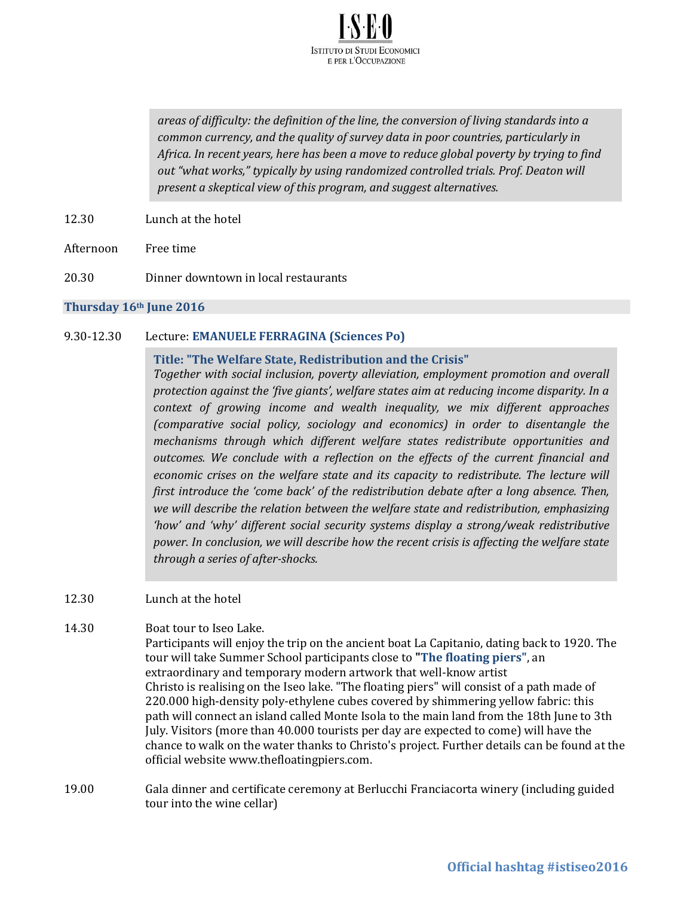

*areas of difficulty: the definition of the line, the conversion of living standards into a common currency, and the quality of survey data in poor countries, particularly in Africa. In recent years, here has been a move to reduce global poverty by trying to find out "what works," typically by using randomized controlled trials. Prof. Deaton will present a skeptical view of this program, and suggest alternatives.*

- 12.30 Lunch at the hotel
- Afternoon Free time
- 20.30 Dinner downtown in local restaurants

#### **Thursday 16th June 2016**

#### 9.30-12.30 Lecture: **EMANUELE FERRAGINA (Sciences Po)**

#### **Title: "The Welfare State, Redistribution and the Crisis"**

*Together with social inclusion, poverty alleviation, employment promotion and overall protection against the 'five giants', welfare states aim at reducing income disparity. In a context of growing income and wealth inequality, we mix different approaches (comparative social policy, sociology and economics) in order to disentangle the mechanisms through which different welfare states redistribute opportunities and outcomes. We conclude with a reflection on the effects of the current financial and economic crises on the welfare state and its capacity to redistribute. The lecture will first introduce the 'come back' of the redistribution debate after a long absence. Then, we will describe the relation between the welfare state and redistribution, emphasizing 'how' and 'why' different social security systems display a strong/weak redistributive power. In conclusion, we will describe how the recent crisis is affecting the welfare state through a series of after-shocks.* 

#### 12.30 Lunch at the hotel

- 14.30 Boat tour to Iseo Lake. Participants will enjoy the trip on the ancient boat La Capitanio, dating back to 1920. The tour will take Summer School participants close to **"The floating piers"**, an extraordinary and temporary modern artwork that well-know artist Christo is realising on the Iseo lake. "The floating piers" will consist of a path made of 220.000 high-density poly-ethylene cubes covered by shimmering yellow fabric: this path will connect an island called Monte Isola to the main land from the 18th June to 3th July. Visitors (more than 40.000 tourists per day are expected to come) will have the chance to walk on the water thanks to Christo's project. Further details can be found at the official website www.thefloatingpiers.com.
- 19.00 Gala dinner and certificate ceremony at Berlucchi Franciacorta winery (including guided tour into the wine cellar)